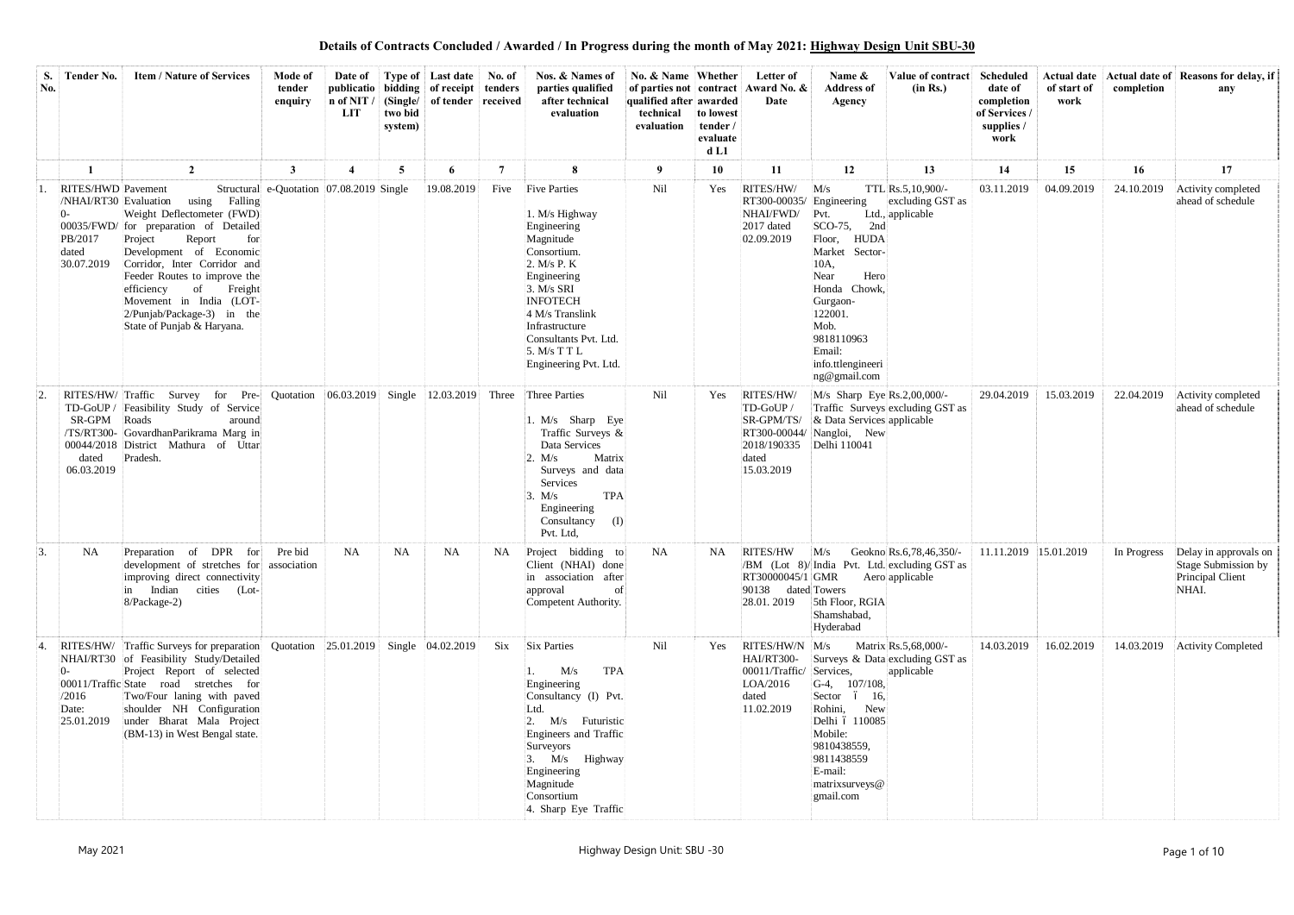**Details of Contracts Concluded / Awarded / In Progress during the month of May 2021: Highway Design Unit SBU-30**

| S.<br>No. | <b>Tender No.</b>                                                                    | <b>Item / Nature of Services</b>                                                                                                                                                                                                                                                                                                      | Mode of<br>tender<br>enquiry             | Date of<br>n of NIT /<br><b>LIT</b> | two bid<br>system) | Type of Last date No. of<br>publicatio   bidding   of receipt   tenders<br>(Single/ of tender received) |                | Nos. & Names of<br>parties qualified<br>after technical<br>evaluation                                                                                                                                                                                    | No. & Name Whether<br>of parties not contract<br>qualified after awarded<br>technical<br>evaluation | to lowest<br>tender /<br>evaluate<br>d <sub>L1</sub> | Letter of<br>Award No. &<br>Date                                                           | Name $\&$<br><b>Address of</b><br>Agency                                                                                                                                                                                    | Value of contract<br>(in Rs.)                                                                                | <b>Scheduled</b><br>date of<br>completion<br>of Services /<br>supplies /<br>work | of start of<br>work | completion | Actual date   Actual date of   Reasons for delay, if<br>any                           |
|-----------|--------------------------------------------------------------------------------------|---------------------------------------------------------------------------------------------------------------------------------------------------------------------------------------------------------------------------------------------------------------------------------------------------------------------------------------|------------------------------------------|-------------------------------------|--------------------|---------------------------------------------------------------------------------------------------------|----------------|----------------------------------------------------------------------------------------------------------------------------------------------------------------------------------------------------------------------------------------------------------|-----------------------------------------------------------------------------------------------------|------------------------------------------------------|--------------------------------------------------------------------------------------------|-----------------------------------------------------------------------------------------------------------------------------------------------------------------------------------------------------------------------------|--------------------------------------------------------------------------------------------------------------|----------------------------------------------------------------------------------|---------------------|------------|---------------------------------------------------------------------------------------|
|           |                                                                                      | $\overline{2}$                                                                                                                                                                                                                                                                                                                        | $\mathbf{3}$                             |                                     | 5                  | 6                                                                                                       | $\overline{7}$ | 8                                                                                                                                                                                                                                                        | 9                                                                                                   | 10                                                   | 11                                                                                         | 12                                                                                                                                                                                                                          | 13                                                                                                           | 14                                                                               | 15                  | 16         | 17                                                                                    |
|           | <b>RITES/HWD</b> Pavement<br>/NHAI/RT30 Evaluation<br>PB/2017<br>dated<br>30.07.2019 | using Falling<br>Weight Deflectometer (FWD)<br>00035/FWD/ for preparation of Detailed<br>Project<br>Report<br>for<br>Development of Economic<br>Corridor, Inter Corridor and<br>Feeder Routes to improve the<br>Freight<br>efficiency<br>of<br>Movement in India (LOT-<br>$2/P$ unjab/Package-3) in the<br>State of Punjab & Haryana. | Structural e-Quotation 07.08.2019 Single |                                     |                    | 19.08.2019                                                                                              | Five           | <b>Five Parties</b><br>1. M/s Highway<br>Engineering<br>Magnitude<br>Consortium.<br>2. $M/s$ P. K<br>Engineering<br>3. M/s SRI<br><b>INFOTECH</b><br>4 M/s Translink<br>Infrastructure<br>Consultants Pvt. Ltd.<br>5. M/s T T L<br>Engineering Pvt. Ltd. | Nil                                                                                                 | Yes                                                  | RITES/HW/<br>RT300-00035/<br>NHAI/FWD/<br>2017 dated<br>02.09.2019                         | M/s<br>Engineering<br>Pvt.<br>SCO-75,<br>2nd<br><b>HUDA</b><br>Floor,<br>Market Sector-<br>10A,<br>Near<br>Hero<br>Honda Chowk,<br>Gurgaon-<br>122001.<br>Mob.<br>9818110963<br>Email:<br>info.ttlengineeri<br>ng@gmail.com | TTL Rs.5,10,900/-<br>excluding GST as<br>Ltd., applicable                                                    | 03.11.2019                                                                       | 04.09.2019          | 24.10.2019 | Activity completed<br>ahead of schedule                                               |
|           | SR-GPM<br>dated<br>06.03.2019                                                        | RITES/HW/Traffic Survey for Pre-<br>TD-GoUP / Feasibility Study of Service<br>Roads<br>around<br>/TS/RT300- GovardhanParikrama Marg in<br>00044/2018 District Mathura of Uttar<br>Pradesh.                                                                                                                                            | Quotation                                | 06.03.2019                          | Single             | 12.03.2019                                                                                              | Three          | Three Parties<br>1. $M/s$ Sharp Eye<br>Traffic Surveys &<br>Data Services<br>Matrix<br>2. M/s<br>Surveys and data<br>Services<br><b>TPA</b><br>3. M/s<br>Engineering<br>Consultancy<br>(I)<br>Pvt. Ltd,                                                  | Nil                                                                                                 | Yes                                                  | RITES/HW/<br>TD-GoUP /<br>SR-GPM/TS/<br>RT300-00044/<br>2018/190335<br>dated<br>15.03.2019 | $M/s$ Sharp Eye Rs.2,00,000/-<br>& Data Services applicable<br>Nangloi, New<br>Delhi 110041                                                                                                                                 | Traffic Surveys excluding GST as                                                                             | 29.04.2019                                                                       | 15.03.2019          | 22.04.2019 | Activity completed<br>ahead of schedule                                               |
| 3.        | NA                                                                                   | Preparation of DPR for Pre bid<br>development of stretches for association<br>improving direct connectivity<br>in Indian cities (Lot-<br>8/Package-2)                                                                                                                                                                                 |                                          | <b>NA</b>                           | NA                 | <b>NA</b>                                                                                               | NA             | Project bidding to<br>Client (NHAI) done<br>in association after<br>approval<br>of<br>Competent Authority.                                                                                                                                               | <b>NA</b>                                                                                           | NA                                                   | RT30000045/1 GMR<br>90138 dated Towers<br>28.01.2019                                       | 5th Floor, RGIA<br>Shamshabad,<br>Hyderabad                                                                                                                                                                                 | $RITES/HW$ $M/s$ Geokno $Rs.6,78,46,350/$<br>/BM (Lot 8)/India Pvt. Ltd. excluding GST as<br>Aero applicable | 11.11.2019 15.01.2019                                                            |                     |            | In Progress Delay in approvals on<br>Stage Submission by<br>Principal Client<br>NHAI. |
| 4.        | /2016<br>Date:                                                                       | RITES/HW/ Traffic Surveys for preparation Quotation 25.01.2019<br>NHAI/RT30 of Feasibility Study/Detailed<br>Project Report of selected<br>00011/Traffic State road stretches for<br>Two/Four laning with paved<br>shoulder NH Configuration<br>25.01.2019 under Bharat Mala Project<br>(BM-13) in West Bengal state.                 |                                          |                                     |                    | Single 04.02.2019                                                                                       | Six            | <b>Six Parties</b><br><b>TPA</b><br>M/s<br>Engineering<br>Consultancy (I) Pvt.<br>Ltd.<br>2. M/s Futuristic<br>Engineers and Traffic<br>Surveyors<br>$3.$ M/s Highway<br>Engineering<br>Magnitude<br>Consortium<br>4. Sharp Eye Traffic                  | Nil                                                                                                 | Yes                                                  | RITES/HW/N M/s<br>HAI/RT300-<br>00011/Traffic/<br>LOA/2016<br>dated<br>11.02.2019          | Services,<br>$G-4$ , 107/108,<br>Sector ó 16,<br>Rohini, New<br>Delhi ó 110085<br>Mobile:<br>9810438559,<br>9811438559<br>E-mail:<br>matrixsurveys@<br>gmail.com                                                            | Matrix Rs.5,68,000/-<br>Surveys & Data excluding GST as<br>applicable                                        | 14.03.2019                                                                       | 16.02.2019          | 14.03.2019 | <b>Activity Completed</b>                                                             |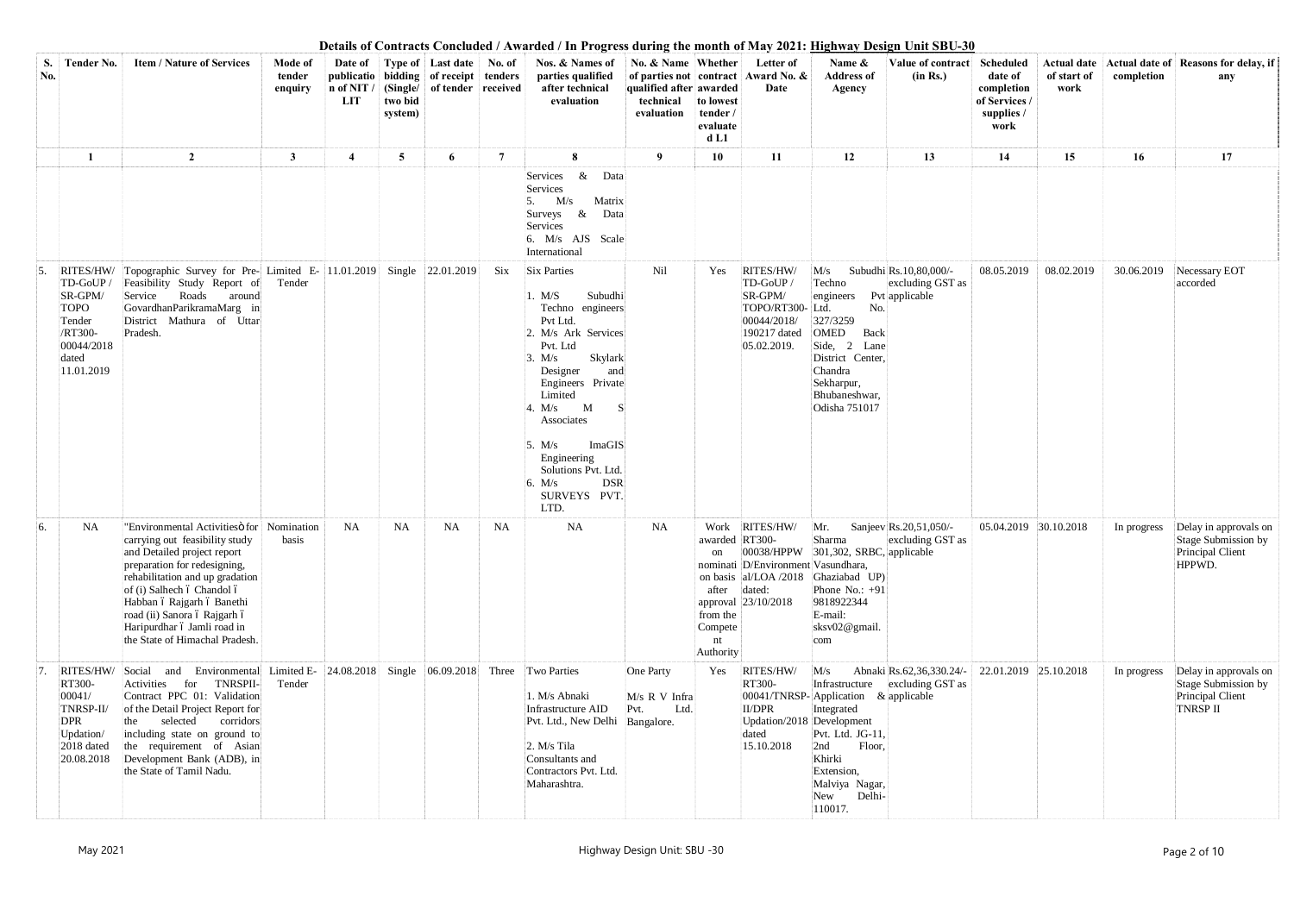| S.<br>No. | <b>Tender No.</b>                                                                                         | <b>Item / Nature of Services</b>                                                                                                                                                                                                                                                                                                         | Mode of<br>tender<br>enquiry | $n$ of NIT /<br>LIT | two bid<br>system) | Date of Type of Last date No. of<br>publicatio bidding of receipt tenders<br>  (Single/   of tender   received |                | Continued Continuous Transfer and Tropicos and the month of the Transfer Design Children C<br>Nos. & Names of<br>parties qualified<br>after technical<br>evaluation                                                                                                                                                             | No. & Name Whether<br>qualified after awarded<br>technical<br>evaluation | to lowest<br>tender /<br>evaluate<br>d <sub>L1</sub>                    | Letter of<br>of parties not contract Award No. &<br>Date                                          | Name &<br><b>Address of</b><br>Agency                                                                                                                                                  | Value of contract<br>(in Rs.)                | Scheduled<br>date of<br>completion<br>of Services /<br>supplies /<br>work | of start of<br>work | completion  | Actual date   Actual date of   Reasons for delay, if<br>any                            |
|-----------|-----------------------------------------------------------------------------------------------------------|------------------------------------------------------------------------------------------------------------------------------------------------------------------------------------------------------------------------------------------------------------------------------------------------------------------------------------------|------------------------------|---------------------|--------------------|----------------------------------------------------------------------------------------------------------------|----------------|---------------------------------------------------------------------------------------------------------------------------------------------------------------------------------------------------------------------------------------------------------------------------------------------------------------------------------|--------------------------------------------------------------------------|-------------------------------------------------------------------------|---------------------------------------------------------------------------------------------------|----------------------------------------------------------------------------------------------------------------------------------------------------------------------------------------|----------------------------------------------|---------------------------------------------------------------------------|---------------------|-------------|----------------------------------------------------------------------------------------|
|           |                                                                                                           | $\overline{2}$                                                                                                                                                                                                                                                                                                                           | $\mathbf{3}$                 | $\overline{4}$      | $5\overline{)}$    | 6                                                                                                              | $\overline{7}$ | 8                                                                                                                                                                                                                                                                                                                               | 9                                                                        | 10                                                                      | 11                                                                                                | 12                                                                                                                                                                                     | 13                                           | 14                                                                        | 15                  | 16          | 17                                                                                     |
|           |                                                                                                           |                                                                                                                                                                                                                                                                                                                                          |                              |                     |                    |                                                                                                                |                | & Data<br>Services<br>Services<br>$5.$ M/s<br>Matrix<br>Surveys &<br>Data<br>Services<br>6. M/s AJS Scale<br>International                                                                                                                                                                                                      |                                                                          |                                                                         |                                                                                                   |                                                                                                                                                                                        |                                              |                                                                           |                     |             |                                                                                        |
|           | RITES/HW/<br>TD-GoUP/<br>SR-GPM/<br><b>TOPO</b><br>Tender<br>/RT300-<br>00044/2018<br>dated<br>11.01.2019 | Topographic Survey for Pre- Limited E- 11.01.2019 Single 22.01.2019<br>Feasibility Study Report of<br>Service<br>Roads<br>around<br>GovardhanParikramaMarg in<br>District Mathura of Uttar<br>Pradesh.                                                                                                                                   | Tender                       |                     |                    |                                                                                                                | Six            | <b>Six Parties</b><br>Subudhi<br>. M/S<br>Techno engineers<br>Pvt Ltd.<br>2. M/s Ark Services<br>Pvt. Ltd<br>Skylark<br>3. M/s<br>Designer<br>and<br>Engineers Private<br>Limited<br>4. $M/s$ M<br>-S<br>Associates<br>ImaGIS<br>5. $M/s$<br>Engineering<br>Solutions Pvt. Ltd.<br><b>DSR</b><br>6. M/s<br>SURVEYS PVT.<br>LTD. | Nil                                                                      | Yes                                                                     | RITES/HW/<br>TD-GoUP/<br>SR-GPM/<br>TOPO/RT300-Ltd.<br>00044/2018/<br>190217 dated<br>05.02.2019. | M/s<br>Techno<br>engineers Pvt applicable<br>No.<br>327/3259<br><b>OMED</b><br>Back<br>Side, 2 Lane<br>District Center,<br>Chandra<br>Sekharpur,<br>Bhubaneshwar,<br>Odisha 751017     | Subudhi Rs.10,80,000/-<br>excluding GST as   | 08.05.2019                                                                | 08.02.2019          | 30.06.2019  | Necessary EOT<br>accorded                                                              |
| 6.        | NA                                                                                                        | "Environmental Activities of Nomination<br>carrying out feasibility study<br>and Detailed project report<br>preparation for redesigning,<br>rehabilitation and up gradation<br>of (i) Salhech ó Chandol ó<br>Habban ó Rajgarh ó Banethi<br>road (ii) Sanora ó Rajgarh ó<br>Haripurdhar ó Jamli road in<br>the State of Himachal Pradesh. | basis                        | <b>NA</b>           | NA                 | NA                                                                                                             | NA             | NA                                                                                                                                                                                                                                                                                                                              | <b>NA</b>                                                                | awarded RT300-<br>on<br>after<br>from the<br>Compete<br>nt<br>Authority | Work RITES/HW/<br>nominati D/Environment Vasundhara,<br>dated:<br>approval 23/10/2018             | Mr.<br>Sharma<br>$ 00038/HPPW $ 301,302, SRBC, applicable<br>on basis al/LOA /2018 Ghaziabad UP)<br>Phone No.: $+91$<br>9818922344<br>E-mail:<br>sksv02@gmail.<br>com                  | Sanjeev Rs.20,51,050/-<br>excluding GST as   | 05.04.2019 30.10.2018                                                     |                     |             | In progress Delay in approvals on<br>Stage Submission by<br>Principal Client<br>HPPWD. |
|           | RITES/HW/<br>RT300-<br>00041/<br>TNRSP-II/<br><b>DPR</b><br>Updation/<br>2018 dated<br>20.08.2018         | Social and Environmental Limited E- 24.08.2018<br>TNRSPII-<br>Activities<br>for<br>Contract PPC 01: Validation<br>of the Detail Project Report for<br>corridors<br>selected<br>the<br>including state on ground to<br>the requirement of Asian<br>Development Bank (ADB), in<br>the State of Tamil Nadu.                                 | Tender                       |                     |                    | Single $ 06.09.2018 $                                                                                          |                | Three Two Parties<br>1. M/s Abnaki<br>Infrastructure AID<br>Pvt. Ltd., New Delhi Bangalore.<br>$2. M/s$ Tila<br>Consultants and<br>Contractors Pvt. Ltd.<br>Maharashtra.                                                                                                                                                        | One Party<br>M/s R V Infra<br>Pvt.<br>Ltd.                               | Yes                                                                     | RITES/HW/<br>RT300-<br><b>II/DPR</b><br>Updation/2018 Development<br>dated<br>15.10.2018          | M/s<br>Infrastructure<br>00041/TNRSP-Application & applicable<br>Integrated<br>Pvt. Ltd. JG-11,<br>2nd<br>Floor,<br>Khirki<br>Extension,<br>Malviya Nagar,<br>Delhi-<br>New<br>110017. | Abnaki Rs.62,36,330.24/-<br>excluding GST as | 22.01.2019 25.10.2018                                                     |                     | In progress | Delay in approvals on<br>Stage Submission by<br>Principal Client<br><b>TNRSP II</b>    |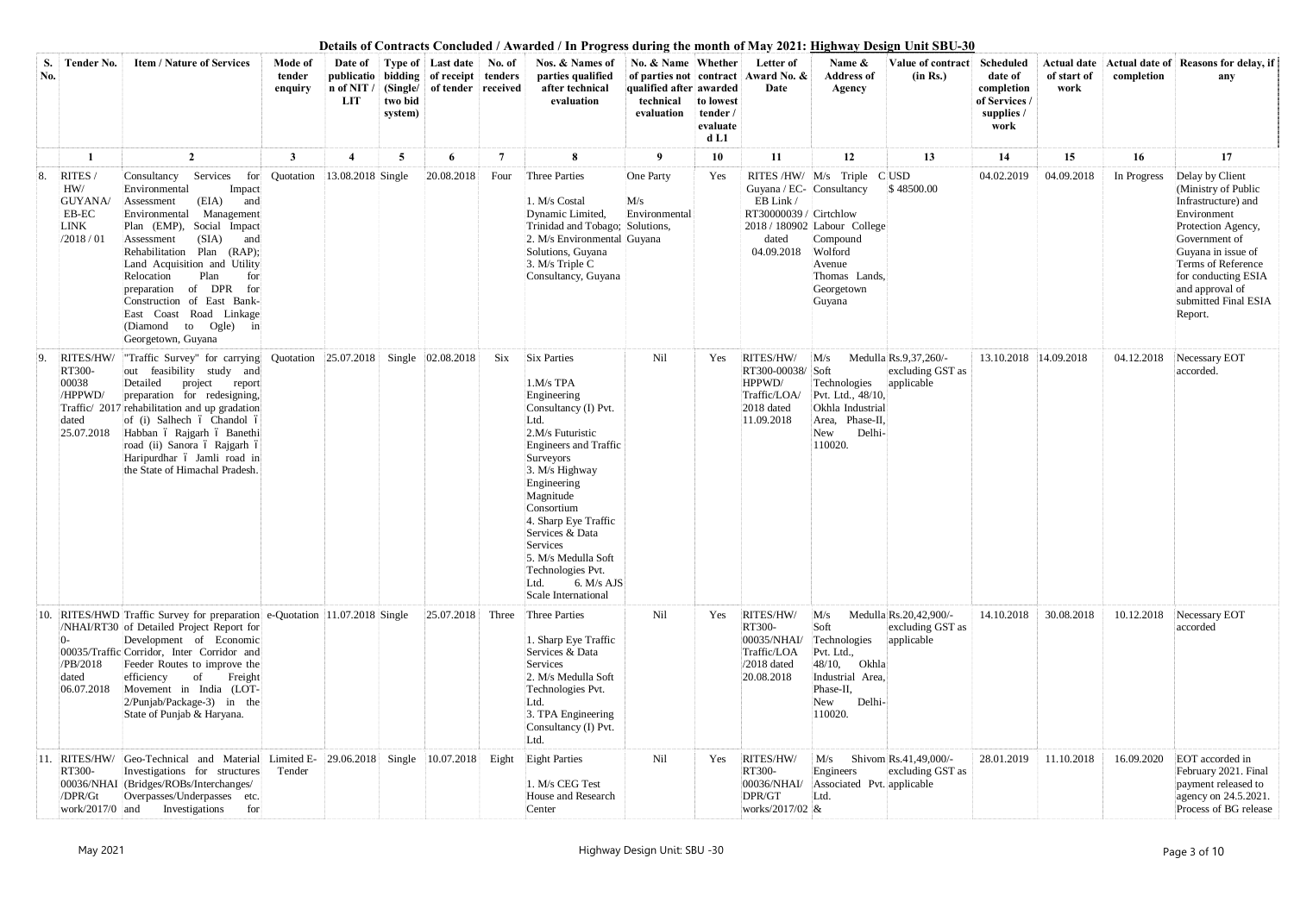| S.<br>No.    | <b>Tender No.</b>                                              | <b>Item / Nature of Services</b>                                                                                                                                                                                                                                                                                                                                                                          | Mode of<br>tender<br>enquiry | Date of<br>n of NIT<br><b>LIT</b> | two bid<br>system) | Type of Last date No. of<br>publicatio bidding of receipt tenders<br>(Single/ of tender received) |                | Nos. & Names of<br>parties qualified<br>after technical<br>evaluation                                                                                                                                                                                                                                                                                         | No. & Name Whether<br>qualified after awarded<br>technical<br>evaluation | to lowest<br>tender/<br>evaluate<br>d <sub>L1</sub> | Letter of<br>of parties not contract Award No. &<br>Date                              | Name &<br><b>Address of</b><br>Agency                                                                                               | Value of contract<br>(in Rs.)                            | Scheduled<br>date of<br>completion<br>of Services /<br>supplies /<br>work | of start of<br>work | completion  | Actual date   Actual date of   Reasons for delay, if<br>any                                                                                                                                                                                  |
|--------------|----------------------------------------------------------------|-----------------------------------------------------------------------------------------------------------------------------------------------------------------------------------------------------------------------------------------------------------------------------------------------------------------------------------------------------------------------------------------------------------|------------------------------|-----------------------------------|--------------------|---------------------------------------------------------------------------------------------------|----------------|---------------------------------------------------------------------------------------------------------------------------------------------------------------------------------------------------------------------------------------------------------------------------------------------------------------------------------------------------------------|--------------------------------------------------------------------------|-----------------------------------------------------|---------------------------------------------------------------------------------------|-------------------------------------------------------------------------------------------------------------------------------------|----------------------------------------------------------|---------------------------------------------------------------------------|---------------------|-------------|----------------------------------------------------------------------------------------------------------------------------------------------------------------------------------------------------------------------------------------------|
|              |                                                                | $\overline{2}$                                                                                                                                                                                                                                                                                                                                                                                            | 3                            |                                   | 5                  | 6                                                                                                 | $\overline{7}$ | 8                                                                                                                                                                                                                                                                                                                                                             | 9                                                                        | 10                                                  | 11                                                                                    | 12                                                                                                                                  | 13                                                       | 14                                                                        | 15                  | 16          | 17                                                                                                                                                                                                                                           |
| 8.           | RITES /<br>HW/<br>GUYANA/<br>EB-EC<br><b>LINK</b><br>/2018/01  | Services<br>Consultancy<br>Environmental<br>Impact<br>(EIA)<br>and<br>Assessment<br>Management<br>Environmental<br>Plan (EMP), Social Impact<br>(SIA)<br>Assessment<br>and<br>Rehabilitation Plan (RAP);<br>Land Acquisition and Utility<br>Relocation<br>Plan<br>for<br>preparation of DPR for<br>Construction of East Bank-<br>East Coast Road Linkage<br>(Diamond to Ogle)<br>in<br>Georgetown, Guyana | for Quotation                | 13.08.2018 Single                 |                    | 20.08.2018                                                                                        | Four           | <b>Three Parties</b><br>1. M/s Costal<br>Dynamic Limited,<br>Trinidad and Tobago; Solutions,<br>2. M/s Environmental Guyana<br>Solutions, Guyana<br>3. M/s Triple C<br>Consultancy, Guyana                                                                                                                                                                    | One Party<br>M/s<br>Environmental                                        | Yes                                                 | Guyana / EC- Consultancy<br>EB Link/<br>RT30000039 / Cirtchlow<br>dated<br>04.09.2018 | RITES/HW/ M/s Triple CUSD<br>2018 / 180902 Labour College<br>Compound<br>Wolford<br>Avenue<br>Thomas Lands.<br>Georgetown<br>Guyana | \$48500.00                                               | 04.02.2019                                                                | 04.09.2018          | In Progress | Delay by Client<br>(Ministry of Public<br>Infrastructure) and<br>Environment<br>Protection Agency,<br>Government of<br>Guyana in issue of<br>Terms of Reference<br>for conducting ESIA<br>and approval of<br>submitted Final ESIA<br>Report. |
| 9.           | RITES/HW/<br>RT300-<br>00038<br>/HPPWD/<br>dated<br>25.07.2018 | "Traffic Survey" for carrying Quotation<br>out feasibility study and<br>Detailed<br>project<br>report<br>preparation for redesigning,<br>Traffic/ 2017 rehabilitation and up gradation<br>of (i) Salhech ó Chandol ó<br>Habban ó Rajgarh ó Banethi<br>road (ii) Sanora ó Rajgarh ó<br>Haripurdhar ó Jamli road in<br>the State of Himachal Pradesh.                                                       |                              | 25.07.2018                        |                    | Single 02.08.2018                                                                                 | Six            | <b>Six Parties</b><br>1.M/s TPA<br>Engineering<br>Consultancy (I) Pvt.<br>Ltd.<br>2.M/s Futuristic<br><b>Engineers and Traffic</b><br>Surveyors<br>3. M/s Highway<br>Engineering<br>Magnitude<br>Consortium<br>4. Sharp Eye Traffic<br>Services & Data<br>Services<br>5. M/s Medulla Soft<br>Technologies Pvt.<br>6. $M/s$ AJS<br>Ltd.<br>Scale International | Nil                                                                      | Yes                                                 | RITES/HW/<br>RT300-00038/ Soft<br>HPPWD/<br>Traffic/LOA/<br>2018 dated<br>11.09.2018  | M/s<br>Technologies<br>Pvt. Ltd., 48/10,<br>Okhla Industrial<br>Area, Phase-II,<br>New<br>Delhi-<br>110020.                         | Medulla Rs.9,37,260/-<br>excluding GST as<br>applicable  | 13.10.2018 14.09.2018                                                     |                     | 04.12.2018  | Necessary EOT<br>accorded.                                                                                                                                                                                                                   |
| 10.          | /PB/2018<br>dated<br>06.07.2018                                | RITES/HWD Traffic Survey for preparation e-Quotation 11.07.2018 Single<br>/NHAI/RT30 of Detailed Project Report for<br>Development of Economic<br>00035/Traffic Corridor, Inter Corridor and<br>Feeder Routes to improve the<br>efficiency<br><sub>of</sub><br>Freight<br>Movement in India (LOT-<br>2/Punjab/Package-3) in the<br>State of Punjab & Haryana.                                             |                              |                                   |                    | 25.07.2018                                                                                        | Three          | Three Parties<br>1. Sharp Eye Traffic<br>Services & Data<br>Services<br>2. M/s Medulla Soft<br>Technologies Pvt.<br>Ltd.<br>3. TPA Engineering<br>Consultancy (I) Pvt.<br>Ltd.                                                                                                                                                                                | Nil                                                                      | Yes                                                 | RITES/HW/<br>RT300-<br>00035/NHAI/<br>Traffic/LOA<br>$/2018$ dated<br>20.08.2018      | M/s<br>Soft<br>Technologies<br>Pvt. Ltd.,<br>48/10,<br>Okhla<br>Industrial Area,<br>Phase-II,<br>New<br>Delhi-<br>110020.           | Medulla Rs.20,42,900/-<br>excluding GST as<br>applicable | 14.10.2018                                                                | 30.08.2018          | 10.12.2018  | Necessary EOT<br>accorded                                                                                                                                                                                                                    |
| $ 11\rangle$ | RT300-<br>/DPR/Gt<br>work/2017/0 and                           | RITES/HW/ Geo-Technical and Material Limited E- 29.06.2018 Single<br>Investigations for structures<br>00036/NHAI (Bridges/ROBs/Interchanges/<br>Overpasses/Underpasses etc.<br>Investigations<br>for                                                                                                                                                                                                      | Tender                       |                                   |                    | 10.07.2018                                                                                        | Eight          | <b>Eight Parties</b><br>1. M/s CEG Test<br>House and Research<br>Center                                                                                                                                                                                                                                                                                       | Nil                                                                      | Yes                                                 | RITES/HW/<br>RT300-<br>00036/NHAI/<br>DPR/GT<br>works/2017/02 &                       | M/s<br>Engineers<br>Associated Pvt. applicable<br>Ltd.                                                                              | Shivom Rs.41,49,000/-<br>excluding GST as                | 28.01.2019                                                                | 11.10.2018          | 16.09.2020  | EOT accorded in<br>February 2021. Final<br>payment released to<br>agency on 24.5.2021.<br>Process of BG release                                                                                                                              |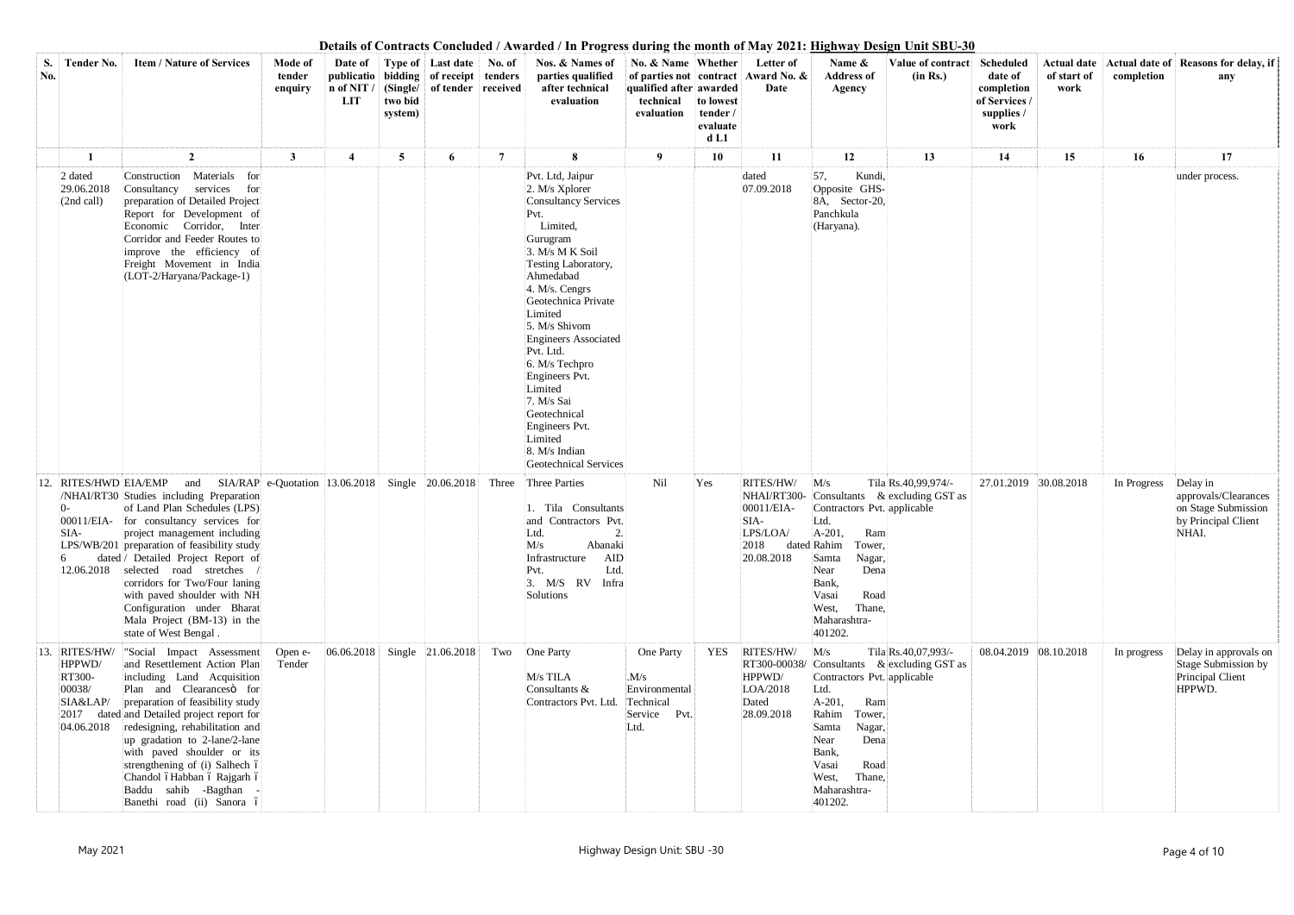| S.<br>No. | Tender No.                                                               | <b>Item / Nature of Services</b>                                                                                                                                                                                                                                                                                                                                                                                                                                                  | Mode of<br>tender<br>enquiry | n of NIT/<br>LIT        | two bid<br>system) | Date of Type of Last date No. of<br>publicatio   bidding   of receipt   tenders<br>(Single/ of tender received) |       | Nos. & Names of<br>parties qualified<br>after technical<br>evaluation                                                                                                                                                                                                                                                                                                                                                         | No. & Name Whether<br>qualified after awarded<br>technical<br>evaluation | to lowest<br>tender/<br>evaluate<br>d <sub>L1</sub> | Letter of<br>of parties not contract Award No. &<br>Date               | Name $\&$<br><b>Address of</b><br>Agency                                                                                                                                                          | Value of contract<br>(in Rs.)                                     | <b>Scheduled</b><br>date of<br>completion<br>of Services /<br>supplies /<br>work | of start of<br>work | completion  | Actual date   Actual date of   Reasons for delay, if<br>any                             |
|-----------|--------------------------------------------------------------------------|-----------------------------------------------------------------------------------------------------------------------------------------------------------------------------------------------------------------------------------------------------------------------------------------------------------------------------------------------------------------------------------------------------------------------------------------------------------------------------------|------------------------------|-------------------------|--------------------|-----------------------------------------------------------------------------------------------------------------|-------|-------------------------------------------------------------------------------------------------------------------------------------------------------------------------------------------------------------------------------------------------------------------------------------------------------------------------------------------------------------------------------------------------------------------------------|--------------------------------------------------------------------------|-----------------------------------------------------|------------------------------------------------------------------------|---------------------------------------------------------------------------------------------------------------------------------------------------------------------------------------------------|-------------------------------------------------------------------|----------------------------------------------------------------------------------|---------------------|-------------|-----------------------------------------------------------------------------------------|
|           |                                                                          | $\overline{2}$                                                                                                                                                                                                                                                                                                                                                                                                                                                                    | 3                            | $\overline{\mathbf{4}}$ | 5                  | 6                                                                                                               | 7     | 8                                                                                                                                                                                                                                                                                                                                                                                                                             | 9                                                                        | 10                                                  | 11                                                                     | 12                                                                                                                                                                                                | 13                                                                | 14                                                                               | 15                  | 16          | 17                                                                                      |
|           | 2 dated<br>29.06.2018<br>(2nd call)                                      | Materials for<br>Construction<br>services<br>Consultancy<br>for<br>preparation of Detailed Project<br>Report for Development of<br>Economic Corridor, Inter<br>Corridor and Feeder Routes to<br>improve the efficiency of<br>Freight Movement in India<br>(LOT-2/Haryana/Package-1)                                                                                                                                                                                               |                              |                         |                    |                                                                                                                 |       | Pvt. Ltd, Jaipur<br>2. M/s Xplorer<br><b>Consultancy Services</b><br>Pvt.<br>Limited,<br>Gurugram<br>3. M/s M K Soil<br>Testing Laboratory,<br>Ahmedabad<br>4. M/s. Cengrs<br>Geotechnica Private<br>Limited<br>5. M/s Shivom<br><b>Engineers Associated</b><br>Pvt. Ltd.<br>6. M/s Techpro<br>Engineers Pvt.<br>Limited<br>7. M/s Sai<br>Geotechnical<br>Engineers Pvt.<br>Limited<br>8. M/s Indian<br>Geotechnical Services |                                                                          |                                                     | dated<br>07.09.2018                                                    | 57,<br>Kundi.<br>Opposite GHS-<br>8A, Sector-20,<br>Panchkula<br>(Haryana).                                                                                                                       |                                                                   |                                                                                  |                     |             | under process.                                                                          |
|           | 12. RITES/HWD EIA/EMP<br>SIA-<br>12.06.2018                              | and SIA/RAP e-Quotation 13.06.2018 Single 20.06.2018<br>/NHAI/RT30 Studies including Preparation<br>of Land Plan Schedules (LPS)<br>00011/EIA- for consultancy services for<br>project management including<br>LPS/WB/201 preparation of feasibility study<br>dated / Detailed Project Report of<br>selected road stretches<br>corridors for Two/Four laning<br>with paved shoulder with NH<br>Configuration under Bharat<br>Mala Project (BM-13) in the<br>state of West Bengal. |                              |                         |                    |                                                                                                                 | Three | Three Parties<br>1. Tila Consultants<br>and Contractors Pvt.<br>2.<br>Ltd.<br>Abanaki<br>M/s<br>AID<br>Infrastructure<br>Ltd.<br>Pvt.<br>3. M/S RV Infra<br>Solutions                                                                                                                                                                                                                                                         | Nil                                                                      | Yes                                                 | RITES/HW/<br>00011/EIA-<br>SIA-<br>LPS/LOA/<br>2018<br>20.08.2018      | M/s<br>Contractors Pvt. applicable<br>Ltd.<br>$A-201,$<br>Ram<br>dated Rahim<br>Tower,<br>Samta<br>Nagar,<br>Dena<br>Near<br>Bank,<br>Road<br>Vasai<br>West,<br>Thane,<br>Maharashtra-<br>401202. | Tila Rs.40,99,974/-<br>NHAI/RT300- Consultants & excluding GST as | 27.01.2019 30.08.2018                                                            |                     | In Progress | Delay in<br>approvals/Clearances<br>on Stage Submission<br>by Principal Client<br>NHAI. |
| 13.       | <b>RITES/HW/</b><br>HPPWD/<br>RT300-<br>00038/<br>SIA&LAP/<br>04.06.2018 | "Social Impact Assessment<br>and Resettlement Action Plan<br>including Land Acquisition<br>Plan and Clearancesö for<br>preparation of feasibility study<br>2017 dated and Detailed project report for<br>redesigning, rehabilitation and<br>up gradation to 2-lane/2-lane<br>with paved shoulder or its<br>strengthening of (i) Salhech ó<br>Chandol óHabban ó Rajgarh ó<br>Baddu sahib -Bagthan<br>Banethi road (ii) Sanora ó                                                    | Open e-<br>Tender            | 06.06.2018              |                    | Single 21.06.2018                                                                                               | Two   | One Party<br>M/s TILA<br>Consultants &<br>Contractors Pvt. Ltd.                                                                                                                                                                                                                                                                                                                                                               | One Party<br>M/s<br>Environmental<br>Technical<br>Service Pvt.<br>Ltd.   | <b>YES</b>                                          | RITES/HW/<br>RT300-00038/<br>HPPWD/<br>LOA/2018<br>Dated<br>28.09.2018 | M/s<br>Contractors Pvt. applicable<br>Ltd.<br>$A-201,$<br>Ram<br>Rahim<br>Tower,<br>Nagar,<br>Samta<br>Near<br>Dena<br>Bank,<br>Vasai<br>Road<br>Thane,<br>West,<br>Maharashtra-<br>401202.       | Tila Rs.40,07,993/-<br>Consultants & excluding GST as             | 08.04.2019 08.10.2018                                                            |                     | In progress | Delay in approvals on<br>Stage Submission by<br>Principal Client<br>HPPWD.              |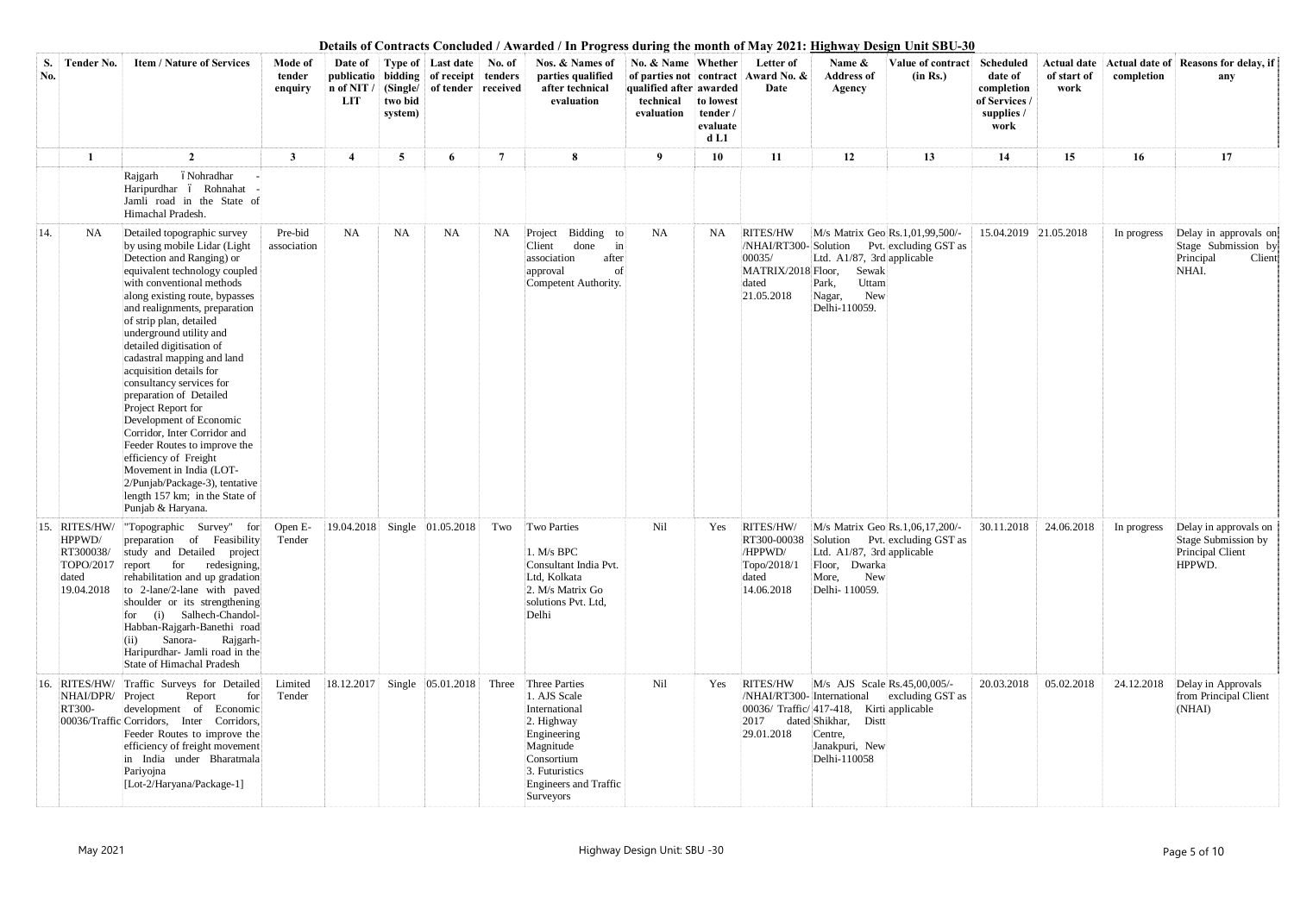| S.<br>No. | <b>Tender No.</b>                                                               | <b>Item / Nature of Services</b>                                                                                                                                                                                                                                                                                                                                                                                                                                                                                                                                                                                                                                                                               | Mode of<br>tender<br>enquiry | Date of<br>n of NIT<br>LIT | two bid<br>system) | Type of Last date<br>publicatio   bidding   of receipt   tenders<br>(Single/ of tender received) | No. of         | Nos. & Names of<br>parties qualified<br>after technical<br>evaluation                                                                                          | No. & Name Whether<br>qualified after awarded<br>technical<br>evaluation | to lowest<br>tender /<br>evaluate<br>d <sub>L1</sub> | Letter of<br>of parties not contract Award No. &<br>Date        | $\mathbf{m}_{\mathbf{S}}$ $\mathbf{m}_{\mathbf{N}}$ $\mathbf{v}_{\mathbf{S}}$ $\mathbf{v}_{\mathbf{S}}$ $\mathbf{m}_{\mathbf{S}}$ $\mathbf{m}_{\mathbf{N}}$ $\mathbf{v}_{\mathbf{S}}$<br>Name &<br><b>Address of</b><br>Agency | Value of contract<br>(in Rs.) | Scheduled<br>date of<br>completion<br>of Services /<br>supplies /<br>work | <b>Actual date</b><br>of start of<br>work | completion  | Actual date of Reasons for delay, if<br>any                                            |
|-----------|---------------------------------------------------------------------------------|----------------------------------------------------------------------------------------------------------------------------------------------------------------------------------------------------------------------------------------------------------------------------------------------------------------------------------------------------------------------------------------------------------------------------------------------------------------------------------------------------------------------------------------------------------------------------------------------------------------------------------------------------------------------------------------------------------------|------------------------------|----------------------------|--------------------|--------------------------------------------------------------------------------------------------|----------------|----------------------------------------------------------------------------------------------------------------------------------------------------------------|--------------------------------------------------------------------------|------------------------------------------------------|-----------------------------------------------------------------|--------------------------------------------------------------------------------------------------------------------------------------------------------------------------------------------------------------------------------|-------------------------------|---------------------------------------------------------------------------|-------------------------------------------|-------------|----------------------------------------------------------------------------------------|
|           |                                                                                 | $\overline{2}$<br>óNohradhar<br>Rajgarh<br>Haripurdhar ó Rohnahat<br>Jamli road in the State of                                                                                                                                                                                                                                                                                                                                                                                                                                                                                                                                                                                                                | 3                            | $\overline{\mathcal{A}}$   | 5                  | 6                                                                                                | $\overline{7}$ | 8                                                                                                                                                              | 9                                                                        | 10                                                   | 11                                                              | 12                                                                                                                                                                                                                             | 13                            | 14                                                                        | 15                                        | 16          | 17                                                                                     |
| 14.       | <b>NA</b>                                                                       | Himachal Pradesh.<br>Detailed topographic survey<br>by using mobile Lidar (Light<br>Detection and Ranging) or<br>equivalent technology coupled<br>with conventional methods<br>along existing route, bypasses<br>and realignments, preparation<br>of strip plan, detailed<br>underground utility and<br>detailed digitisation of<br>cadastral mapping and land<br>acquisition details for<br>consultancy services for<br>preparation of Detailed<br>Project Report for<br>Development of Economic<br>Corridor, Inter Corridor and<br>Feeder Routes to improve the<br>efficiency of Freight<br>Movement in India (LOT-<br>2/Punjab/Package-3), tentative<br>length 157 km; in the State of<br>Punjab & Haryana. | Pre-bid<br>association       | NA                         | <b>NA</b>          | <b>NA</b>                                                                                        | NA.            | Bidding to<br>Project<br>done<br>in<br>Client<br>association<br>after<br>οf<br>approval<br>Competent Authority.                                                | <b>NA</b>                                                                | NA                                                   | RITES/HW<br>00035/<br>MATRIX/2018 Floor,<br>dated<br>21.05.2018 | M/s Matrix Geo Rs.1,01,99,500/-<br>/NHAI/RT300-Solution Pvt. excluding GST as<br>Ltd. A1/87, 3rd applicable<br>Sewak<br>Uttam<br>Park,<br>New<br>Nagar,<br>Delhi-110059.                                                       |                               | 15.04.2019 21.05.2018                                                     |                                           | In progress | Delay in approvals on<br>Stage Submission by<br>Principal<br>Client<br>NHAI.           |
|           | 15. RITES/HW/<br>HPPWD/<br>RT300038/<br>TOPO/2017 report<br>dated<br>19.04.2018 | "Topographic Survey" for Open E-<br>preparation of Feasibility<br>study and Detailed project<br>for<br>redesigning,<br>rehabilitation and up gradation<br>to 2-lane/2-lane with paved<br>shoulder or its strengthening<br>for (i) Salhech-Chandol-<br>Habban-Rajgarh-Banethi road<br>Sanora-<br>Rajgarh-<br>(ii)<br>Haripurdhar- Jamli road in the<br>State of Himachal Pradesh                                                                                                                                                                                                                                                                                                                                | Tender                       |                            |                    | $ 19.04.2018 $ Single $ 01.05.2018 $                                                             | Two            | Two Parties<br>1. M/s BPC<br>Consultant India Pvt.<br>Ltd, Kolkata<br>2. M/s Matrix Go<br>solutions Pvt. Ltd,<br>Delhi                                         | Nil                                                                      | Yes                                                  | RITES/HW/<br>/HPPWD/<br>Topo/2018/1<br>dated<br>14.06.2018      | M/s Matrix Geo Rs.1,06,17,200/-<br>RT300-00038 Solution Pvt. excluding GST as<br>Ltd. A1/87, 3rd applicable<br>Floor, Dwarka<br>More,<br>New<br>Delhi- 110059.                                                                 |                               | 30.11.2018                                                                | 24.06.2018                                |             | In progress Delay in approvals on<br>Stage Submission by<br>Principal Client<br>HPPWD. |
|           | NHAI/DPR/ Project<br>RT300-                                                     | 16. RITES/HW/ Traffic Surveys for Detailed<br>for<br>Report<br>development of Economic<br>00036/Traffic Corridors, Inter Corridors,<br>Feeder Routes to improve the<br>efficiency of freight movement<br>in India under Bharatmala<br>Pariyojna<br>[Lot-2/Haryana/Package-1]                                                                                                                                                                                                                                                                                                                                                                                                                                   | Limited<br>Tender            | 18.12.2017                 |                    | Single 05.01.2018                                                                                | Three          | Three Parties<br>1. AJS Scale<br>International<br>2. Highway<br>Engineering<br>Magnitude<br>Consortium<br>3. Futuristics<br>Engineers and Traffic<br>Surveyors | Nil                                                                      | Yes                                                  | RITES/HW<br>2017<br>29.01.2018                                  | M/s AJS Scale Rs.45,00,005/-<br>/NHAI/RT300- International excluding GST as<br>00036/ Traffic/ 417-418, Kirti applicable<br>dated Shikhar, Distt<br>Centre,<br>Janakpuri, New<br>Delhi-110058                                  |                               | 20.03.2018                                                                | 05.02.2018                                | 24.12.2018  | Delay in Approvals<br>from Principal Client<br>(NHAI)                                  |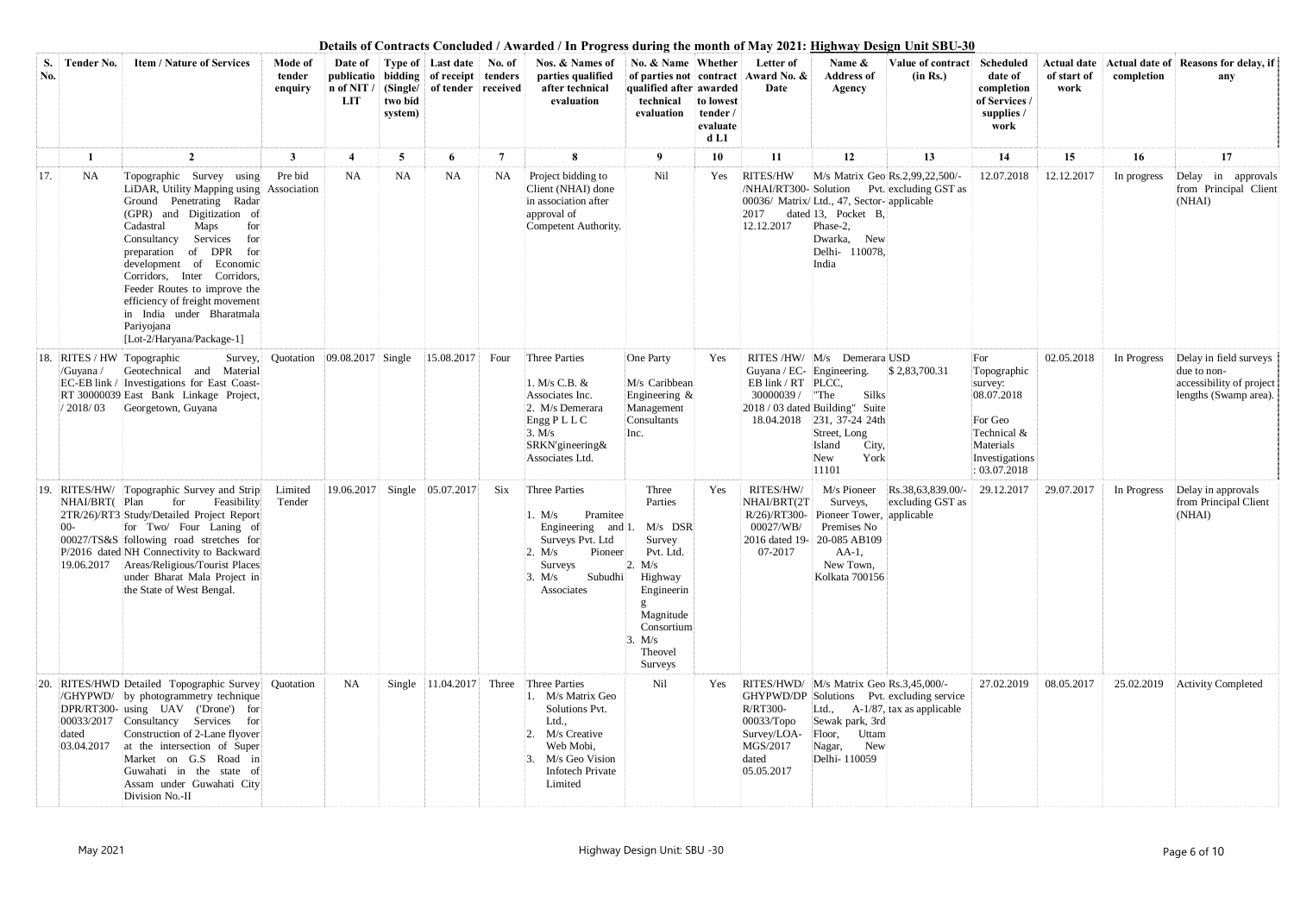| S.<br>No. | <b>Tender No.</b>      | <b>Item / Nature of Services</b>                                                                                                                                                                                                                                                                                                                                                                                          | Mode of<br>tender<br>enquiry | Date of<br>n of NIT /<br>LIT | two bid<br>system) | <b>Type of Last date No. of</b><br>publicatio   bidding   of receipt   tenders<br>(Single/ of tender received |       | Nos. & Names of<br>parties qualified<br>after technical<br>evaluation                                                                                              | No. & Name Whether<br>qualified after awarded<br>technical<br>evaluation                                                              | to lowest<br>tender/<br>evaluate<br>d <sub>L1</sub> | Letter of<br>of parties not contract Award No. &<br>Date                           | Name $\&$<br>Value of contract<br>(in Rs.)<br><b>Address of</b><br>Agency                                                                                                                                          | <b>Scheduled</b><br>date of<br>completion<br>of Services /<br>supplies /<br>work                                     | of start of<br>work | completion  | Actual date   Actual date of   Reasons for delay, if<br>any                                |
|-----------|------------------------|---------------------------------------------------------------------------------------------------------------------------------------------------------------------------------------------------------------------------------------------------------------------------------------------------------------------------------------------------------------------------------------------------------------------------|------------------------------|------------------------------|--------------------|---------------------------------------------------------------------------------------------------------------|-------|--------------------------------------------------------------------------------------------------------------------------------------------------------------------|---------------------------------------------------------------------------------------------------------------------------------------|-----------------------------------------------------|------------------------------------------------------------------------------------|--------------------------------------------------------------------------------------------------------------------------------------------------------------------------------------------------------------------|----------------------------------------------------------------------------------------------------------------------|---------------------|-------------|--------------------------------------------------------------------------------------------|
|           |                        | $\overline{2}$                                                                                                                                                                                                                                                                                                                                                                                                            | 3                            |                              | $5\overline{ }$    | 6                                                                                                             | 7     | 8                                                                                                                                                                  | 9                                                                                                                                     | 10                                                  | 11                                                                                 | 12<br>13                                                                                                                                                                                                           | 14                                                                                                                   | 15                  | 16          | 17                                                                                         |
| 17.       | <b>NA</b>              | Topographic Survey using<br>LiDAR, Utility Mapping using Association<br>Ground Penetrating Radar<br>(GPR) and Digitization of<br>Cadastral<br>Maps<br>for<br>Consultancy<br>Services<br>for<br>preparation of DPR for<br>development of Economic<br>Corridors, Inter Corridors,<br>Feeder Routes to improve the<br>efficiency of freight movement<br>in India under Bharatmala<br>Pariyojana<br>[Lot-2/Haryana/Package-1] | Pre bid                      | <b>NA</b>                    | <b>NA</b>          | <b>NA</b>                                                                                                     | NA    | Project bidding to<br>Client (NHAI) done<br>in association after<br>approval of<br>Competent Authority.                                                            | Nil                                                                                                                                   | Yes                                                 | <b>RITES/HW</b><br>2017<br>12.12.2017                                              | M/s Matrix Geo Rs.2,99,22,500/-<br>/NHAI/RT300- Solution Pvt. excluding GST as<br>00036/ Matrix/Ltd., 47, Sector-applicable<br>dated 13, Pocket B,<br>Phase-2,<br>Dwarka,<br><b>New</b><br>Delhi- 110078,<br>India | 12.07.2018                                                                                                           | 12.12.2017          | In progress | Delay in approvals<br>from Principal Client<br>(NHAI)                                      |
| 18.       | /Guyana /<br>/ 2018/03 | RITES / HW Topographic<br>Survey,<br>Geotechnical and Material<br>EC-EB link / Investigations for East Coast-<br>RT 30000039 East Bank Linkage Project,<br>Georgetown, Guyana                                                                                                                                                                                                                                             | Quotation                    | 09.08.2017 Single            |                    | 15.08.2017                                                                                                    | Four  | <b>Three Parties</b><br>1. M/s C.B. &<br>Associates Inc.<br>2. M/s Demerara<br>Engg PLLC<br>3. M/s<br>SRKN'gineering&<br>Associates Ltd.                           | One Party<br>M/s Caribbean<br>Engineering $\&$<br>Management<br>Consultants<br>Inc.                                                   | Yes                                                 | Guyana / EC- Engineering.<br>EB link / RT PLCC,<br>30000039/                       | RITES /HW/ M/s Demerara USD<br>\$2,83,700.31<br>"The<br>Silks<br>2018 / 03 dated Building" Suite<br>18.04.2018 231, 37-24 24th<br>Street, Long<br>Island<br>City,<br>York<br>New<br>11101                          | For<br>Topographic<br>survey:<br>08.07.2018<br>For Geo<br>Technical &<br>Materials<br>Investigations<br>: 03.07.2018 | 02.05.2018          | In Progress | Delay in field surveys<br>due to non-<br>accessibility of project<br>lengths (Swamp area). |
| 19.       | NHAI/BRT(Plan          | RITES/HW/ Topographic Survey and Strip<br>Feasibility<br>for<br>2TR/26)/RT3 Study/Detailed Project Report<br>for Two/ Four Laning of<br>00027/TS&S following road stretches for<br>P/2016 dated NH Connectivity to Backward<br>19.06.2017   Areas/Religious/Tourist Places<br>under Bharat Mala Project in<br>the State of West Bengal.                                                                                   | Limited<br>Tender            | 19.06.2017                   | Single             | 05.07.2017                                                                                                    | Six   | Three Parties<br>. M/s<br>Pramitee<br>Engineering and 1. $M/s$ DSR<br>Surveys Pvt. Ltd<br>Pioneer<br>2. M/s<br>Surveys<br>3. M/s<br>Subudhi<br>Associates          | Three<br>Parties<br>Survey<br>Pvt. Ltd.<br>2. M/s<br>Highway<br>Engineerin<br>Magnitude<br>Consortium<br>3. M/s<br>Theovel<br>Surveys | Yes                                                 | RITES/HW/<br>NHAI/BRT(2T<br>00027/WB/<br>07-2017                                   | M/s Pioneer<br>Rs.38,63,839.00/-<br>excluding GST as<br>Surveys,<br>R/26)/RT300- Pioneer Tower, applicable<br>Premises No<br>2016 dated 19-20-085 AB109<br>$AA-1$ ,<br>New Town,<br>Kolkata 700156                 | 29.12.2017                                                                                                           | 29.07.2017          | In Progress | Delay in approvals<br>from Principal Client<br>(NHAI)                                      |
| 20.       | dated<br>03.04.2017    | RITES/HWD Detailed Topographic Survey Quotation<br>/GHYPWD/ by photogrammetry technique<br>DPR/RT300- using UAV ('Drone') for<br>00033/2017 Consultancy Services for<br>Construction of 2-Lane flyover<br>at the intersection of Super<br>Market on G.S Road in<br>Guwahati in the state of<br>Assam under Guwahati City<br>Division No.-II                                                                               |                              | NA                           |                    | Single $ 11.04.2017 $                                                                                         | Three | Three Parties<br>1. M/s Matrix Geo<br>Solutions Pvt.<br>Ltd.,<br>M/s Creative<br>$\overline{2}$<br>Web Mobi,<br>M/s Geo Vision<br>3<br>Infotech Private<br>Limited | Nil                                                                                                                                   | Yes                                                 | <b>R/RT300-</b><br>$00033/T$ opo<br>Survey/LOA-<br>MGS/2017<br>dated<br>05.05.2017 | RITES/HWD/ M/s Matrix Geo Rs.3,45,000/-<br>GHYPWD/DP Solutions Pvt. excluding service<br>Ltd., $A-1/87$ , tax as applicable<br>Sewak park, 3rd<br>Floor, Uttam<br>Nagar,<br>New<br>Delhi-110059                    | 27.02.2019                                                                                                           | 08.05.2017          | 25.02.2019  | <b>Activity Completed</b>                                                                  |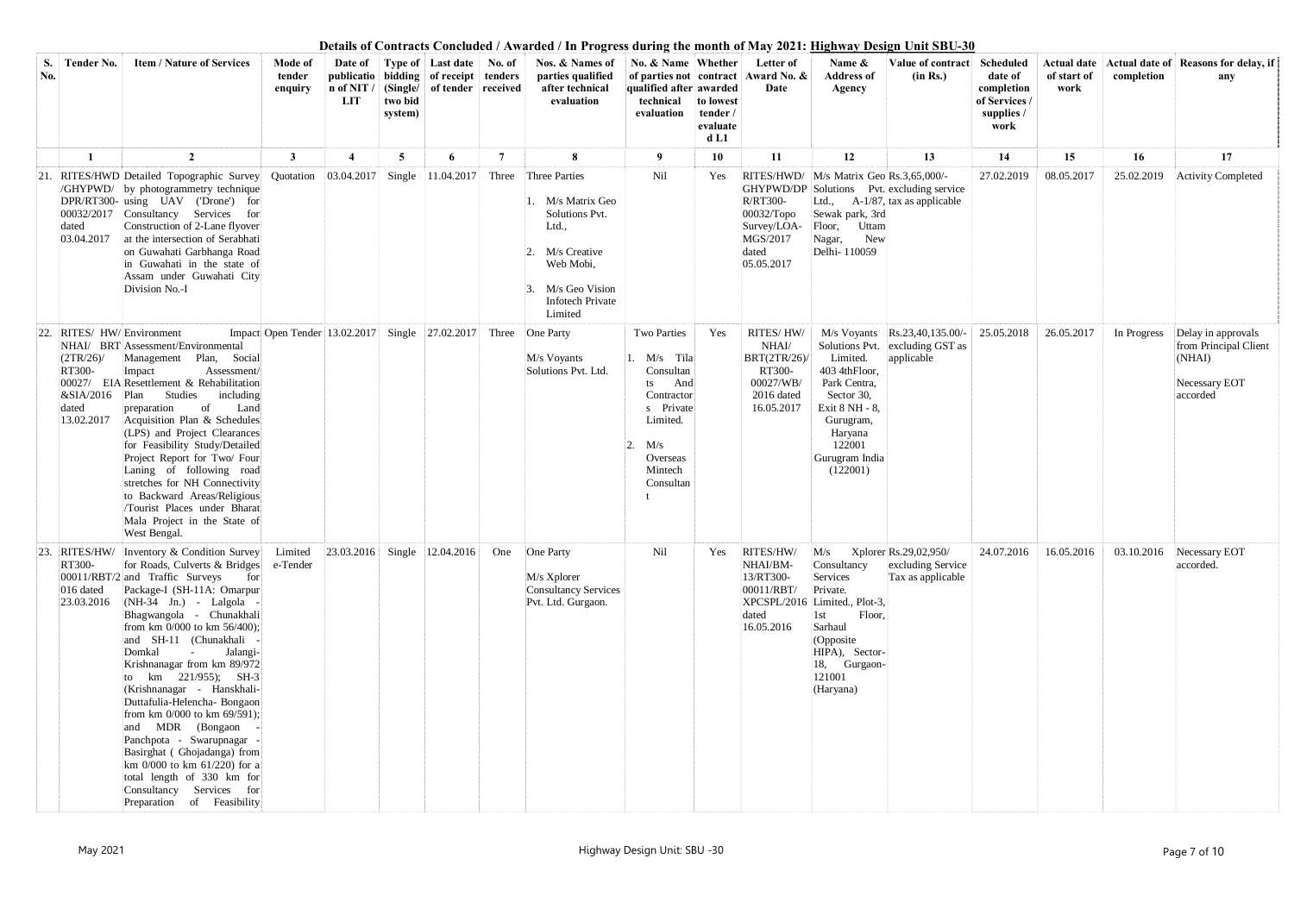| S.<br>No. | <b>Tender No.</b>                                                              | <b>Item / Nature of Services</b>                                                                                                                                                                                                                                                                                                                                                                                                                                                                                                                                                                                                                                                                                                                                                                | Mode of<br>tender<br>enquiry  | Date of<br>n of NIT /<br><b>LIT</b>  | two bid<br>system) | Type of Last date No. of<br>publicatio   bidding   of receipt   tenders<br><b>Single/</b> of tender received |                | Nos. & Names of<br>parties qualified<br>after technical<br>evaluation                                                                                                                | No. & Name Whether<br>qualified after awarded<br>technical<br>evaluation                                                                         | to lowest<br>tender /<br>evaluate<br>d <sub>L1</sub> | Letter of<br>of parties not contract Award No. &<br>Date                              | Name &<br><b>Address of</b><br>Agency                                                                                                                                         | $\mathbf{m}_{\mathbf{S}}$ $\mathbf{m}_{\mathbf{N}}$ $\mathbf{v}_{\mathbf{S}}$ $\mathbf{v}_{\mathbf{S}}$ $\mathbf{m}_{\mathbf{S}}$ $\mathbf{v}_{\mathbf{S}}$ $\mathbf{v}_{\mathbf{S}}$<br>Value of contract<br>(in Rs.) | Scheduled<br>date of<br>completion<br>of Services /<br>supplies /<br>work | of start of<br>work | completion  | Actual date   Actual date of   Reasons for delay, if<br>any                        |
|-----------|--------------------------------------------------------------------------------|-------------------------------------------------------------------------------------------------------------------------------------------------------------------------------------------------------------------------------------------------------------------------------------------------------------------------------------------------------------------------------------------------------------------------------------------------------------------------------------------------------------------------------------------------------------------------------------------------------------------------------------------------------------------------------------------------------------------------------------------------------------------------------------------------|-------------------------------|--------------------------------------|--------------------|--------------------------------------------------------------------------------------------------------------|----------------|--------------------------------------------------------------------------------------------------------------------------------------------------------------------------------------|--------------------------------------------------------------------------------------------------------------------------------------------------|------------------------------------------------------|---------------------------------------------------------------------------------------|-------------------------------------------------------------------------------------------------------------------------------------------------------------------------------|------------------------------------------------------------------------------------------------------------------------------------------------------------------------------------------------------------------------|---------------------------------------------------------------------------|---------------------|-------------|------------------------------------------------------------------------------------|
|           |                                                                                | $\overline{2}$                                                                                                                                                                                                                                                                                                                                                                                                                                                                                                                                                                                                                                                                                                                                                                                  | 3                             | $\boldsymbol{4}$                     | $5\overline{)}$    | 6                                                                                                            | $\overline{7}$ | 8                                                                                                                                                                                    | 9                                                                                                                                                | 10                                                   | 11                                                                                    | 12                                                                                                                                                                            | 13                                                                                                                                                                                                                     | 14                                                                        | 15                  | 16          | 17                                                                                 |
|           | dated<br>03.04.2017                                                            | 21. RITES/HWD Detailed Topographic Survey Quotation<br>/GHYPWD/ by photogrammetry technique<br>DPR/RT300- using UAV ('Drone') for<br>00032/2017 Consultancy Services for<br>Construction of 2-Lane flyover<br>at the intersection of Serabhati<br>on Guwahati Garbhanga Road<br>in Guwahati in the state of<br>Assam under Guwahati City<br>Division No.-I                                                                                                                                                                                                                                                                                                                                                                                                                                      |                               | 03.04.2017                           | Single             | 11.04.2017                                                                                                   | Three          | Three Parties<br>1. M/s Matrix Geo<br>Solutions Pvt.<br>Ltd.,<br>M/s Creative<br>$\overline{2}$<br>Web Mobi,<br>M/s Geo Vision<br>$\mathbf{3}$<br><b>Infotech Private</b><br>Limited | Nil                                                                                                                                              | Yes                                                  | <b>R/RT300-</b><br>$00032/T$ opo<br>Survey/LOA-<br>MGS/2017<br>dated<br>05.05.2017    | RITES/HWD/ M/s Matrix Geo Rs.3,65,000/-<br>Sewak park, 3rd<br>Floor,<br>Uttam<br>Nagar,<br>New<br>Delhi-110059                                                                | GHYPWD/DP Solutions Pvt. excluding service<br>Ltd., $A-1/87$ , tax as applicable                                                                                                                                       | 27.02.2019                                                                | 08.05.2017          | 25.02.2019  | <b>Activity Completed</b>                                                          |
| 22.       | RITES/HW/Environment<br>(2TR/26)<br>RT300-<br>&SIA/2016<br>dated<br>13.02.2017 | NHAI/ BRT Assessment/Environmental<br>Management Plan, Social<br>Assessment/<br>Impact<br>00027/ EIA Resettlement & Rehabilitation<br>Plan<br>Studies<br>including<br>of<br>Land<br>preparation<br>Acquisition Plan & Schedules<br>(LPS) and Project Clearances<br>for Feasibility Study/Detailed<br>Project Report for Two/ Four<br>Laning of following road<br>stretches for NH Connectivity<br>to Backward Areas/Religious<br>/Tourist Places under Bharat<br>Mala Project in the State of<br>West Bengal.                                                                                                                                                                                                                                                                                   | Impact Open Tender 13.02.2017 |                                      |                    | Single $ 27.02.2017 $                                                                                        | Three          | One Party<br>M/s Voyants<br>Solutions Pvt. Ltd.                                                                                                                                      | <b>Two Parties</b><br>1. M/s Tila<br>Consultan<br>ts And<br>Contractor<br>s Private<br>Limited.<br>M/s<br>12<br>Overseas<br>Mintech<br>Consultan | Yes                                                  | RITES/HW/<br>NHAI/<br>BRT(2TR/26)/<br>RT300-<br>00027/WB/<br>2016 dated<br>16.05.2017 | Limited.<br>403 4thFloor,<br>Park Centra,<br>Sector 30,<br>Exit 8 NH - 8,<br>Gurugram,<br>Haryana<br>122001<br>Gurugram India<br>(122001)                                     | M/s Voyants Rs.23,40,135.00/-<br>Solutions Pvt. excluding GST as<br>applicable                                                                                                                                         | 25.05.2018                                                                | 26.05.2017          | In Progress | Delay in approvals<br>from Principal Client<br>(NHAI)<br>Necessary EOT<br>accorded |
| 23.       | RT300-<br>016 dated<br>23.03.2016                                              | RITES/HW/ Inventory & Condition Survey<br>for Roads, Culverts & Bridges e-Tender<br>00011/RBT/2 and Traffic Surveys for<br>Package-I (SH-11A: Omarpur<br>$(NH-34 \text{ Jn.})$ - Lalgola -<br>Bhagwangola - Chunakhali<br>from km 0/000 to km 56/400);<br>and SH-11 (Chunakhali -<br>Domkal<br>Jalangi-<br>$\mathcal{L}^{\mathcal{L}}(\mathcal{L}^{\mathcal{L}})$ and $\mathcal{L}^{\mathcal{L}}(\mathcal{L}^{\mathcal{L}})$<br>Krishnanagar from km 89/972<br>to km $221/955$ ; SH-3<br>(Krishnanagar - Hanskhali-<br>Duttafulia-Helencha- Bongaon<br>from km $0/000$ to km $69/591$ ;<br>and MDR (Bongaon<br>Panchpota - Swarupnagar -<br>Basirghat (Ghojadanga) from<br>km 0/000 to km 61/220) for a<br>total length of 330 km for<br>Consultancy Services for<br>Preparation of Feasibility | Limited                       | $ 23.03.2016 $ Single $ 12.04.2016 $ |                    |                                                                                                              |                | One One Party<br>M/s Xplorer<br><b>Consultancy Services</b><br>Pvt. Ltd. Gurgaon.                                                                                                    | Nil                                                                                                                                              | Yes                                                  | RITES/HW/<br>NHAI/BM-<br>13/RT300-<br>00011/RBT/<br>dated<br>16.05.2016               | M/s<br>Consultancy<br>Services<br>Private.<br>XPCSPL/2016 Limited., Plot-3,<br>Floor,<br>1st<br>Sarhaul<br>(Opposite<br>HIPA), Sector-<br>18, Gurgaon-<br>121001<br>(Haryana) | Xplorer Rs.29,02,950/<br>excluding Service<br>Tax as applicable                                                                                                                                                        | 24.07.2016                                                                | 16.05.2016          |             | 03.10.2016 Necessary EOT<br>accorded.                                              |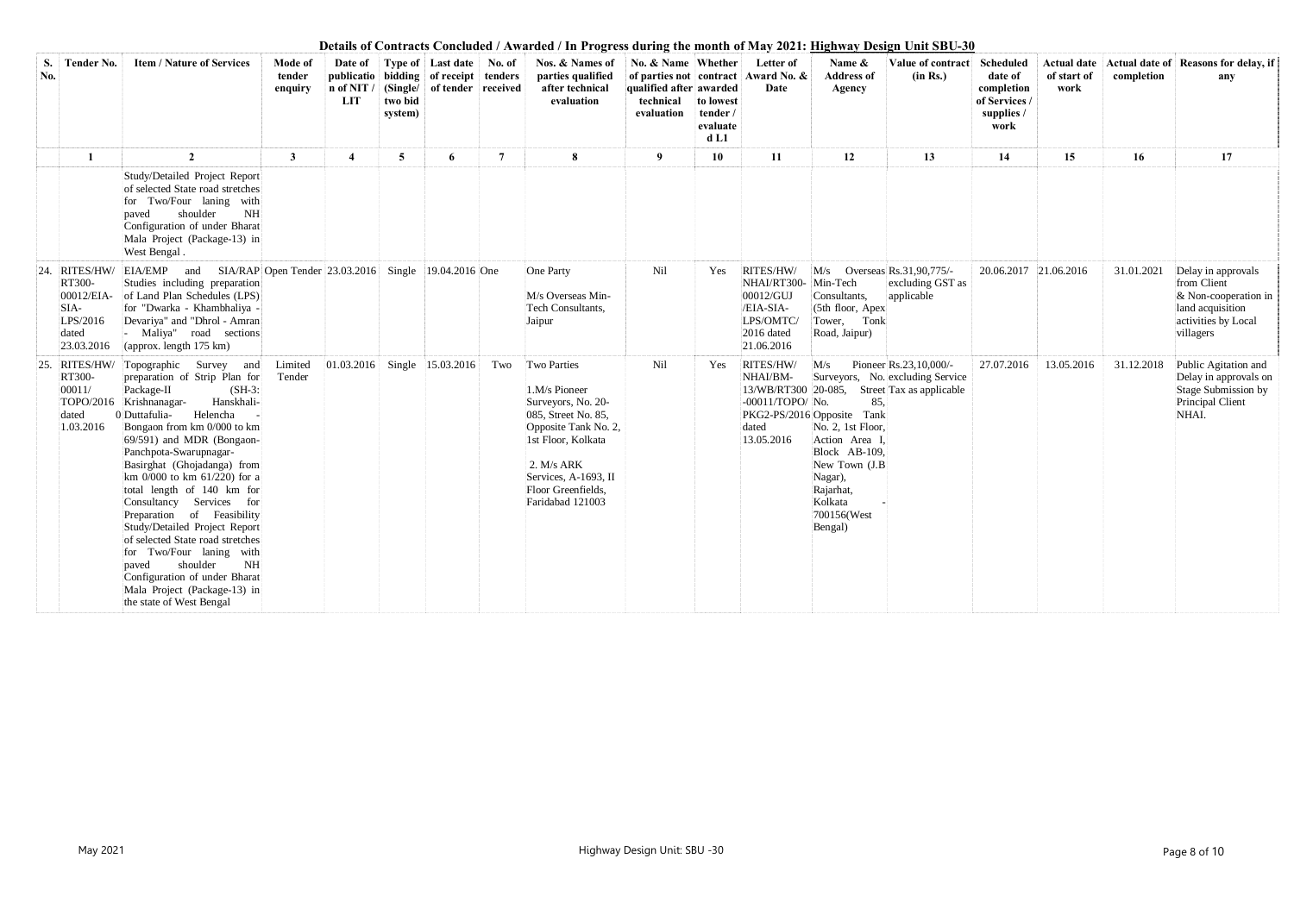| S.<br>No. | <b>Tender No.</b>                                                            | <b>Item / Nature of Services</b>                                                                                                                                                                                                                                                                                                                                                                                                                                                                                                                                                                                                     | Mode of<br>tender<br>enquiry | Date of<br>publicatio<br>n of NIT /<br><b>LIT</b> | two bid<br>system) | Type of Last date No. of<br>  bidding   of receipt   tenders<br><b>Single/</b> of tender received |                 | Nos. & Names of<br>parties qualified<br>after technical<br>evaluation                                                                                                                                   | No. & Name Whether<br>qualified after awarded<br>technical<br>evaluation | to lowest<br>tender /<br>evaluate<br>d <sub>L1</sub> | Letter of<br>of parties not contract Award No. &<br>Date                                    | Name &<br><b>Address of</b><br>Agency                                                                                                                                          | Value of contract<br>(in Rs.)                                                                              | <b>Scheduled</b><br>date of<br>completion<br>of Services /<br>supplies /<br>work | <b>Actual date</b><br>of start of<br>work | completion | Actual date of Reasons for delay, if<br>any                                                                         |
|-----------|------------------------------------------------------------------------------|--------------------------------------------------------------------------------------------------------------------------------------------------------------------------------------------------------------------------------------------------------------------------------------------------------------------------------------------------------------------------------------------------------------------------------------------------------------------------------------------------------------------------------------------------------------------------------------------------------------------------------------|------------------------------|---------------------------------------------------|--------------------|---------------------------------------------------------------------------------------------------|-----------------|---------------------------------------------------------------------------------------------------------------------------------------------------------------------------------------------------------|--------------------------------------------------------------------------|------------------------------------------------------|---------------------------------------------------------------------------------------------|--------------------------------------------------------------------------------------------------------------------------------------------------------------------------------|------------------------------------------------------------------------------------------------------------|----------------------------------------------------------------------------------|-------------------------------------------|------------|---------------------------------------------------------------------------------------------------------------------|
|           | $\mathbf{1}$                                                                 | $\overline{2}$                                                                                                                                                                                                                                                                                                                                                                                                                                                                                                                                                                                                                       | $\mathbf{3}$                 | $\overline{\mathbf{4}}$                           | 5 <sup>5</sup>     | 6                                                                                                 | $7\phantom{.0}$ | 8                                                                                                                                                                                                       | 9                                                                        | 10                                                   | 11                                                                                          | 12                                                                                                                                                                             | 13                                                                                                         | 14                                                                               | 15                                        | 16         | 17                                                                                                                  |
|           |                                                                              | Study/Detailed Project Report<br>of selected State road stretches<br>for Two/Four laning with<br>shoulder<br>NH<br>paved<br>Configuration of under Bharat<br>Mala Project (Package-13) in<br>West Bengal.                                                                                                                                                                                                                                                                                                                                                                                                                            |                              |                                                   |                    |                                                                                                   |                 |                                                                                                                                                                                                         |                                                                          |                                                      |                                                                                             |                                                                                                                                                                                |                                                                                                            |                                                                                  |                                           |            |                                                                                                                     |
| 24.       | RITES/HW/<br>RT300-<br>00012/EIA-<br>SIA-<br>LPS/2016<br>dated<br>23.03.2016 | and SIA/RAP Open Tender 23.03.2016<br>EIA/EMP<br>Studies including preparation<br>of Land Plan Schedules (LPS)<br>for "Dwarka - Khambhaliya -<br>Devariya" and "Dhrol - Amran<br>- Maliya" road sections<br>(approx. length 175 km)                                                                                                                                                                                                                                                                                                                                                                                                  |                              |                                                   |                    | Single $ 19.04.2016 $ One                                                                         |                 | One Party<br>M/s Overseas Min-<br>Tech Consultants,<br>Jaipur                                                                                                                                           | Nil                                                                      | Yes                                                  | RITES/HW/<br>NHAI/RT300-<br>00012/GUJ<br>/EIA-SIA-<br>LPS/OMTC/<br>2016 dated<br>21.06.2016 | M/s Overseas Rs.31,90,775/-<br>Min-Tech<br>Consultants,<br>(5th floor, Apex<br>Tower, Tonk<br>Road, Jaipur)                                                                    | excluding GST as<br>applicable                                                                             | 20.06.2017 21.06.2016                                                            |                                           | 31.01.2021 | Delay in approvals<br>from Client<br>$&$ Non-cooperation in<br>land acquisition<br>activities by Local<br>villagers |
| 25.       | RITES/HW/<br>RT300-<br>00011/<br>dated<br>1.03.2016                          | Topographic Survey and<br>preparation of Strip Plan for<br>Package-II<br>$(SH-3)$ :<br>Hanskhali-<br>TOPO/2016 Krishnanagar-<br>0 Duttafulia-<br>Helencha<br>Bongaon from km 0/000 to km<br>69/591) and MDR (Bongaon-<br>Panchpota-Swarupnagar-<br>Basirghat (Ghojadanga) from<br>km $0/000$ to km $61/220$ ) for a<br>total length of 140 km for<br>Consultancy Services for<br>Preparation of Feasibility<br>Study/Detailed Project Report<br>of selected State road stretches<br>for Two/Four laning with<br>shoulder<br>NH<br>paved<br>Configuration of under Bharat<br>Mala Project (Package-13) in<br>the state of West Bengal | Limited<br>Tender            | $ 01.03.2016 $ Single 15.03.2016                  |                    |                                                                                                   | Two             | Two Parties<br>1.M/s Pioneer<br>Surveyors, No. 20-<br>085, Street No. 85,<br>Opposite Tank No. 2,<br>1st Floor, Kolkata<br>2. M/s ARK<br>Services, A-1693, II<br>Floor Greenfields,<br>Faridabad 121003 | Nil                                                                      | Yes                                                  | RITES/HW/<br>NHAI/BM-<br>-00011/TOPO/ No.<br>dated<br>13.05.2016                            | M/s<br>85,<br>PKG2-PS/2016 Opposite Tank<br>No. 2, 1st Floor,<br>Action Area I,<br>Block AB-109,<br>New Town (J.B<br>Nagar),<br>Rajarhat,<br>Kolkata<br>700156(West<br>Bengal) | Pioneer Rs.23,10,000/-<br>Surveyors, No. excluding Service<br>13/WB/RT300 20-085, Street Tax as applicable | 27.07.2016                                                                       | 13.05.2016                                | 31.12.2018 | Public Agitation and<br>Delay in approvals on<br>Stage Submission by<br>Principal Client<br>NHAI.                   |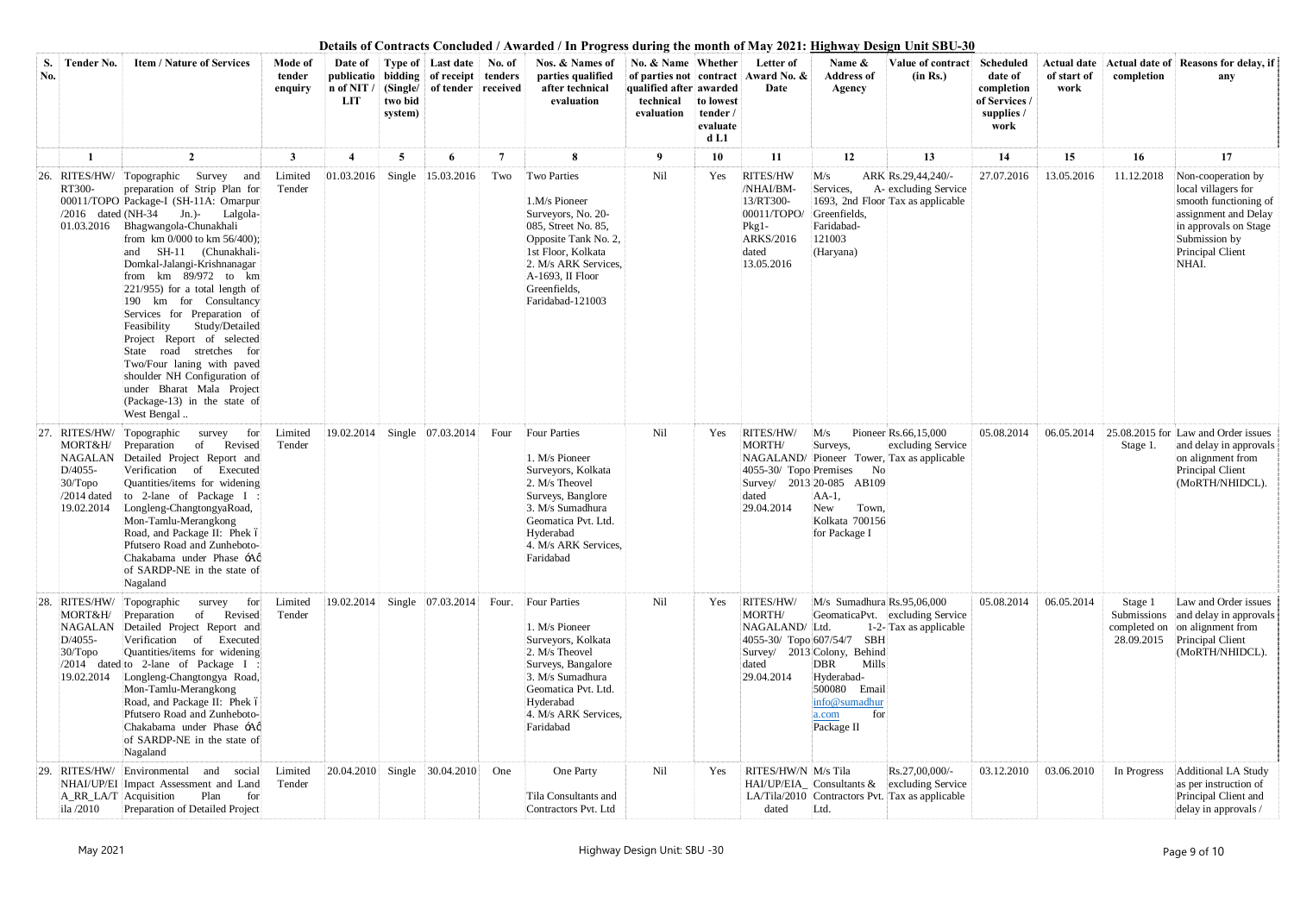| S.<br>No.      | <b>Tender No.</b>                                                            | <b>Item / Nature of Services</b>                                                                                                                                                                                                                                                                                                                                                                                                                                                                                                                                                                 | Mode of<br>tender<br>enquiry | Date of<br>publicatio<br>n of NIT<br>LIT | two bid<br>system) | Type of Last date<br>  bidding   of receipt  <br>(Single/ of tender received) | No. of<br>tenders | Nos. & Names of<br>parties qualified<br>after technical<br>evaluation                                                                                                                                   | No. & Name Whether<br>qualified after awarded<br>technical<br>evaluation | to lowest<br>tender /<br>evaluate<br>d <sub>L1</sub> | Letter of<br>of parties not contract Award No. &<br>Date                                         | Name $\&$<br>Value of contract<br>(in Rs.)<br><b>Address of</b><br>Agency                                                                                                                                                          | <b>Scheduled</b><br>date of<br>completion<br>of Services /<br>supplies /<br>work | <b>Actual date</b><br>of start of<br>work | completion                                           | Actual date of Reasons for delay, if<br>any                                                                                                                       |
|----------------|------------------------------------------------------------------------------|--------------------------------------------------------------------------------------------------------------------------------------------------------------------------------------------------------------------------------------------------------------------------------------------------------------------------------------------------------------------------------------------------------------------------------------------------------------------------------------------------------------------------------------------------------------------------------------------------|------------------------------|------------------------------------------|--------------------|-------------------------------------------------------------------------------|-------------------|---------------------------------------------------------------------------------------------------------------------------------------------------------------------------------------------------------|--------------------------------------------------------------------------|------------------------------------------------------|--------------------------------------------------------------------------------------------------|------------------------------------------------------------------------------------------------------------------------------------------------------------------------------------------------------------------------------------|----------------------------------------------------------------------------------|-------------------------------------------|------------------------------------------------------|-------------------------------------------------------------------------------------------------------------------------------------------------------------------|
|                |                                                                              | $\overline{2}$                                                                                                                                                                                                                                                                                                                                                                                                                                                                                                                                                                                   | 3                            |                                          | 5                  | 6                                                                             | 7                 | 8                                                                                                                                                                                                       | 9                                                                        | 10                                                   | 11                                                                                               | 12<br>13                                                                                                                                                                                                                           | 14                                                                               | 15                                        | 16                                                   | 17                                                                                                                                                                |
| <sup>26.</sup> | RITES/HW/<br>RT300-<br>$/2016$ dated (NH-34)<br>01.03.2016                   | Topographic Survey and<br>preparation of Strip Plan for<br>00011/TOPO Package-I (SH-11A: Omarpur<br>Jn.)- Lalgola-<br>Bhagwangola-Chunakhali<br>from km 0/000 to km 56/400);<br>and SH-11 (Chunakhali-<br>Domkal-Jalangi-Krishnanagar<br>from km 89/972 to km<br>$221/955$ ) for a total length of<br>190 km for Consultancy<br>Services for Preparation of<br>Feasibility<br>Study/Detailed<br>Project Report of selected<br>State road stretches for<br>Two/Four laning with paved<br>shoulder NH Configuration of<br>under Bharat Mala Project<br>(Package-13) in the state of<br>West Bengal | Limited<br>Tender            | 01.03.2016                               | Single             | 15.03.2016                                                                    | Two               | Two Parties<br>1.M/s Pioneer<br>Surveyors, No. 20-<br>085, Street No. 85,<br>Opposite Tank No. 2,<br>1st Floor, Kolkata<br>2. M/s ARK Services,<br>A-1693, II Floor<br>Greenfields,<br>Faridabad-121003 | Nil                                                                      | Yes                                                  | RITES/HW<br>/NHAI/BM-<br>13/RT300-<br>00011/TOPO/<br>$Pkg1-$<br>ARKS/2016<br>dated<br>13.05.2016 | M/s<br>ARK Rs.29,44,240/-<br>Services,<br>A- excluding Service<br>1693, 2nd Floor Tax as applicable<br>Greenfields,<br>Faridabad-<br>121003<br>(Haryana)                                                                           | 27.07.2016                                                                       | 13.05.2016                                | 11.12.2018                                           | Non-cooperation by<br>local villagers for<br>smooth functioning of<br>assignment and Delay<br>in approvals on Stage<br>Submission by<br>Principal Client<br>NHAI. |
| 27.            | RITES/HW/<br>MORT&H/<br>D/4055-<br>$30/T$ opo<br>$/2014$ dated<br>19.02.2014 | Topographic<br>survey for<br>of<br>Revised<br>Preparation<br>NAGALAN Detailed Project Report and<br>Verification of<br>Executed<br>Quantities/items for widening<br>to 2-lane of Package I:<br>Longleng-ChangtongyaRoad,<br>Mon-Tamlu-Merangkong<br>Road, and Package II: Phek ó<br>Pfutsero Road and Zunheboto-<br>Chakabama under Phase -Ao<br>of SARDP-NE in the state of<br>Nagaland                                                                                                                                                                                                         | Limited<br>Tender            | 19.02.2014                               |                    | Single 07.03.2014                                                             | Four              | <b>Four Parties</b><br>1. M/s Pioneer<br>Surveyors, Kolkata<br>2. M/s Theovel<br>Surveys, Banglore<br>3. M/s Sumadhura<br>Geomatica Pvt. Ltd.<br>Hyderabad<br>4. M/s ARK Services,<br>Faridabad         | Nil                                                                      | Yes                                                  | RITES/HW/<br>MORTH/<br>4055-30/ Topo Premises<br>dated<br>29.04.2014                             | Pioneer Rs.66,15,000<br>M/s<br>Surveys,<br>excluding Service<br>NAGALAND/ Pioneer Tower, Tax as applicable<br>No<br>Survey/ 2013 20-085 AB109<br>$AA-1$ ,<br>New<br>Town,<br>Kolkata 700156<br>for Package I                       | 05.08.2014                                                                       | 06.05.2014                                | Stage 1.                                             | 25.08.2015 for Law and Order issues<br>and delay in approvals<br>on alignment from<br>Principal Client<br>(MoRTH/NHIDCL).                                         |
| 28.            | MORT&H/<br>NAGALAN<br>D/4055-<br>$30/T$ opo<br>19.02.2014                    | RITES/HW/ Topographic<br>for<br>survey<br>of<br>Revised<br>Preparation<br>Detailed Project Report and<br>Verification<br>$\alpha$<br>Executed<br>Quantities/items for widening<br>/2014 dated to 2-lane of Package I<br>Longleng-Changtongya Road,<br>Mon-Tamlu-Merangkong<br>Road, and Package II: Phek ó<br>Pfutsero Road and Zunheboto-<br>Chakabama under Phase -Aø<br>of SARDP-NE in the state of<br>Nagaland                                                                                                                                                                               | Limited<br>Tender            | 19.02.2014                               |                    | Single 07.03.2014                                                             | Four.             | Four Parties<br>1. M/s Pioneer<br>Surveyors, Kolkata<br>2. M/s Theovel<br>Surveys, Bangalore<br>3. M/s Sumadhura<br>Geomatica Pvt. Ltd.<br>Hyderabad<br>4. M/s ARK Services,<br>Faridabad               | Nil                                                                      | Yes                                                  | RITES/HW/<br><b>MORTH/</b><br>NAGALAND/ Ltd.<br>4055-30/ Topo 607/54/7<br>dated<br>29.04.2014    | $M/s$ Sumadhura Rs.95,06,000<br>GeomaticaPvt. excluding Service<br>1-2-Tax as applicable<br><b>SBH</b><br>Survey/ 2013 Colony, Behind<br>DBR<br>Mills<br>Hyderabad-<br>500080 Email<br>info@sumadhur<br>for<br>a.com<br>Package II | 05.08.2014                                                                       | 06.05.2014                                | Stage 1<br>Submissions<br>completed on<br>28.09.2015 | Law and Order issues<br>and delay in approvals<br>on alignment from<br>Principal Client<br>(MoRTH/NHIDCL).                                                        |
| 29.            | RITES/HW/<br>A_RR_LA/T Acquisition<br>ila /2010                              | Environmental<br>and social<br>NHAI/UP/EI Impact Assessment and Land<br>Plan<br>for<br>Preparation of Detailed Project                                                                                                                                                                                                                                                                                                                                                                                                                                                                           | Limited<br>Tender            |                                          |                    | 20.04.2010 Single 30.04.2010                                                  | One               | One Party<br>Tila Consultants and<br>Contractors Pvt. Ltd                                                                                                                                               | Nil                                                                      | Yes                                                  | RITES/HW/N M/s Tila<br>dated                                                                     | Rs.27,00,000/-<br>$HAI/UP/EIA$ Consultants & excluding Service<br>LA/Tila/2010 Contractors Pvt. Tax as applicable<br>Ltd.                                                                                                          | 03.12.2010                                                                       | 03.06.2010                                | In Progress                                          | Additional LA Study<br>as per instruction of<br>Principal Client and<br>delay in approvals /                                                                      |